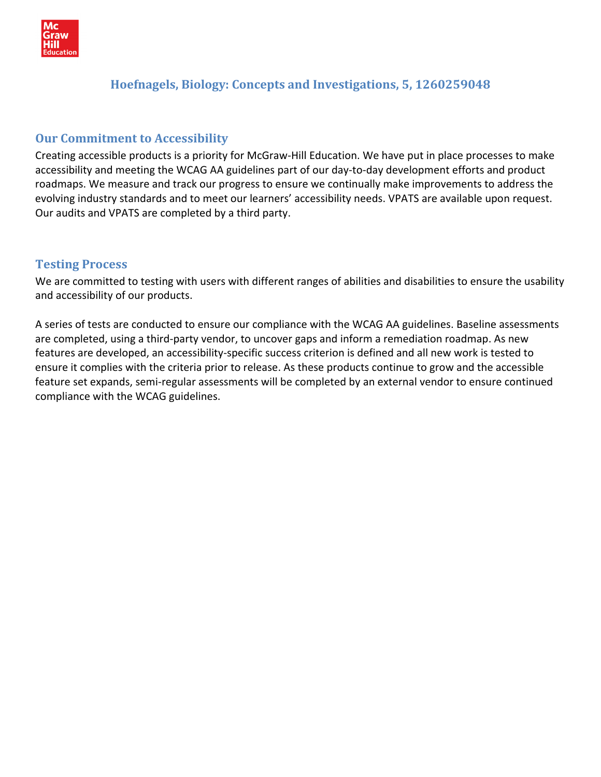

# **Hoefnagels, Biology: Concepts and Investigations, 5, 1260259048**

# **Our Commitment to Accessibility**

Creating accessible products is a priority for McGraw‐Hill Education. We have put in place processes to make accessibility and meeting the WCAG AA guidelines part of our day‐to‐day development efforts and product roadmaps. We measure and track our progress to ensure we continually make improvements to address the evolving industry standards and to meet our learners' accessibility needs. VPATS are available upon request. Our audits and VPATS are completed by a third party.

## **Testing Process**

We are committed to testing with users with different ranges of abilities and disabilities to ensure the usability and accessibility of our products.

A series of tests are conducted to ensure our compliance with the WCAG AA guidelines. Baseline assessments are completed, using a third‐party vendor, to uncover gaps and inform a remediation roadmap. As new features are developed, an accessibility‐specific success criterion is defined and all new work is tested to ensure it complies with the criteria prior to release. As these products continue to grow and the accessible feature set expands, semi‐regular assessments will be completed by an external vendor to ensure continued compliance with the WCAG guidelines.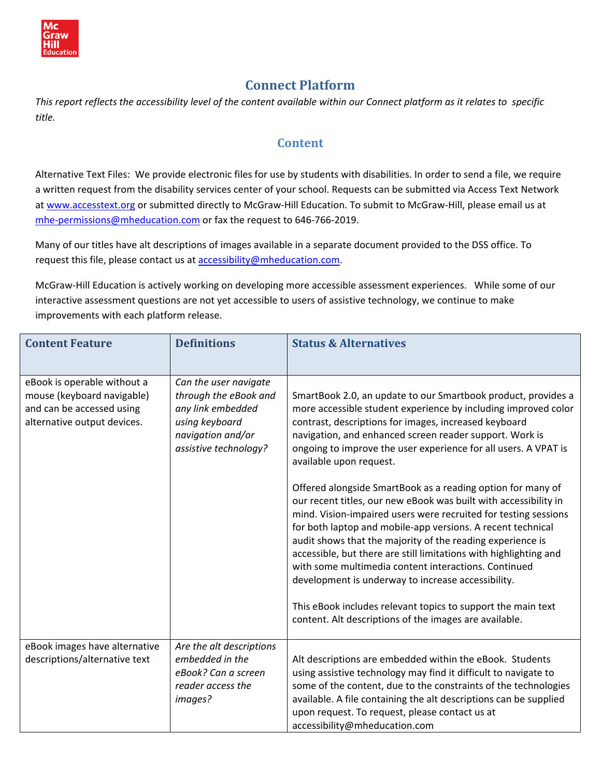

# **Connect Platform**

This report reflects the accessibility level of the content available within our Connect platform as it relates to specific *title.* 

## **Content**

Alternative Text Files: We provide electronic files for use by students with disabilities. In order to send a file, we require a written request from the disability services center of your school. Requests can be submitted via Access Text Network at [www.accesstext.org](http://www.accesstext.org/) or submitted directly to McGraw-Hill Education. To submit to McGraw-Hill, please email us at mhe-[permissions@mheducation.com](mailto:mhe-permissions@mheducation.com) or fax the request to 646-766-2019.

Many of our titles have alt descriptions of images available in a separate document provided to the DSS office. To request this file, please contact us at [accessibility@mheducation.com](mailto:accessibility@mheducation.com).

McGraw‐Hill Education is actively working on developing more accessible assessment experiences. While some of our interactive assessment questions are not yet accessible to users of assistive technology, we continue to make improvements with each platform release.

| <b>Content Feature</b>                                                                                                | <b>Definitions</b>                                                                                                                  | <b>Status &amp; Alternatives</b>                                                                                                                                                                                                                                                                                                                                                                                                                                                                                                                                                                                                                                                                                                                                                                                                                                                                                                                                                                  |
|-----------------------------------------------------------------------------------------------------------------------|-------------------------------------------------------------------------------------------------------------------------------------|---------------------------------------------------------------------------------------------------------------------------------------------------------------------------------------------------------------------------------------------------------------------------------------------------------------------------------------------------------------------------------------------------------------------------------------------------------------------------------------------------------------------------------------------------------------------------------------------------------------------------------------------------------------------------------------------------------------------------------------------------------------------------------------------------------------------------------------------------------------------------------------------------------------------------------------------------------------------------------------------------|
| eBook is operable without a<br>mouse (keyboard navigable)<br>and can be accessed using<br>alternative output devices. | Can the user navigate<br>through the eBook and<br>any link embedded<br>using keyboard<br>navigation and/or<br>assistive technology? | SmartBook 2.0, an update to our Smartbook product, provides a<br>more accessible student experience by including improved color<br>contrast, descriptions for images, increased keyboard<br>navigation, and enhanced screen reader support. Work is<br>ongoing to improve the user experience for all users. A VPAT is<br>available upon request.<br>Offered alongside SmartBook as a reading option for many of<br>our recent titles, our new eBook was built with accessibility in<br>mind. Vision-impaired users were recruited for testing sessions<br>for both laptop and mobile-app versions. A recent technical<br>audit shows that the majority of the reading experience is<br>accessible, but there are still limitations with highlighting and<br>with some multimedia content interactions. Continued<br>development is underway to increase accessibility.<br>This eBook includes relevant topics to support the main text<br>content. Alt descriptions of the images are available. |
| eBook images have alternative<br>descriptions/alternative text                                                        | Are the alt descriptions<br>embedded in the<br>eBook? Can a screen<br>reader access the<br>images?                                  | Alt descriptions are embedded within the eBook. Students<br>using assistive technology may find it difficult to navigate to<br>some of the content, due to the constraints of the technologies<br>available. A file containing the alt descriptions can be supplied<br>upon request. To request, please contact us at<br>accessibility@mheducation.com                                                                                                                                                                                                                                                                                                                                                                                                                                                                                                                                                                                                                                            |